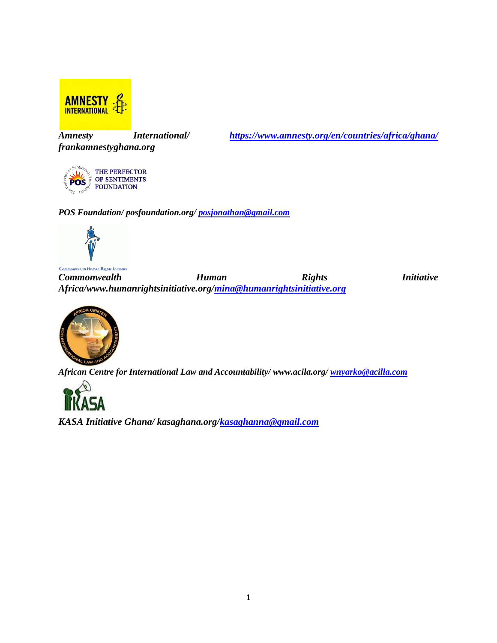

*frankamnestyghana.org*

*Amnesty International/ <https://www.amnesty.org/en/countries/africa/ghana/>*

THE PERFECTOR OF SENTIMENTS **POS FOUNDATION** 

*POS Foundation/ posfoundation.org/ [posjonathan@gmail.com](mailto:posjonathan@gmail.com)*



*Commonwealth* **Human** *Rights Initiative Africa/www.humanrightsinitiative.org[/mina@humanrightsinitiative.org](mailto:mina@humanrightsinitiative.org)*

*African Centre for International Law and Accountability/ www.acila.org/ [wnyarko@acilla.com](mailto:wnyarko@acilaa.com)*



*KASA Initiative Ghana/ kasaghana.org[/kasaghanna@gmail.com](mailto:kasaghana@gmail.com)*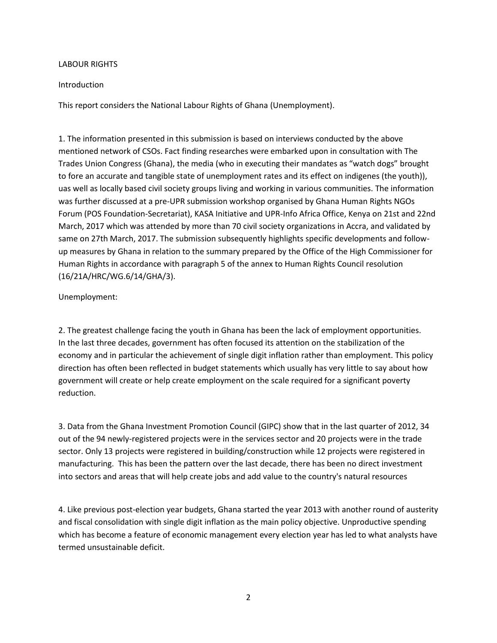## LABOUR RIGHTS

## Introduction

This report considers the National Labour Rights of Ghana (Unemployment).

1. The information presented in this submission is based on interviews conducted by the above mentioned network of CSOs. Fact finding researches were embarked upon in consultation with The Trades Union Congress (Ghana), the media (who in executing their mandates as "watch dogs" brought to fore an accurate and tangible state of unemployment rates and its effect on indigenes (the youth)), uas well as locally based civil society groups living and working in various communities. The information was further discussed at a pre-UPR submission workshop organised by Ghana Human Rights NGOs Forum (POS Foundation-Secretariat), KASA Initiative and UPR-Info Africa Office, Kenya on 21st and 22nd March, 2017 which was attended by more than 70 civil society organizations in Accra, and validated by same on 27th March, 2017. The submission subsequently highlights specific developments and followup measures by Ghana in relation to the summary prepared by the Office of the High Commissioner for Human Rights in accordance with paragraph 5 of the annex to Human Rights Council resolution (16/21A/HRC/WG.6/14/GHA/3).

## Unemployment:

2. The greatest challenge facing the youth in Ghana has been the lack of employment opportunities. In the last three decades, government has often focused its attention on the stabilization of the economy and in particular the achievement of single digit inflation rather than employment. This policy direction has often been reflected in budget statements which usually has very little to say about how government will create or help create employment on the scale required for a significant poverty reduction.

3. Data from the Ghana Investment Promotion Council (GIPC) show that in the last quarter of 2012, 34 out of the 94 newly-registered projects were in the services sector and 20 projects were in the trade sector. Only 13 projects were registered in building/construction while 12 projects were registered in manufacturing. This has been the pattern over the last decade, there has been no direct investment into sectors and areas that will help create jobs and add value to the country's natural resources

4. Like previous post-election year budgets, Ghana started the year 2013 with another round of austerity and fiscal consolidation with single digit inflation as the main policy objective. Unproductive spending which has become a feature of economic management every election year has led to what analysts have termed unsustainable deficit.